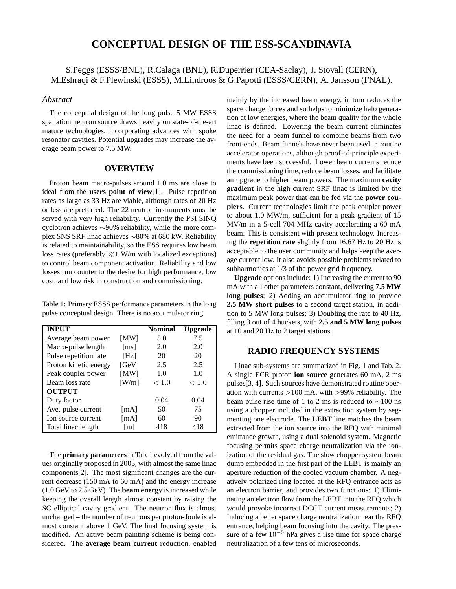# **CONCEPTUAL DESIGN OF THE ESS-SCANDINAVIA**

## S.Peggs (ESSS/BNL), R.Calaga (BNL), R.Duperrier (CEA-Saclay), J. Stovall (CERN), M.Eshraqi & F.Plewinski (ESSS), M.Lindroos & G.Papotti (ESSS/CERN), A. Jansson (FNAL).

### *Abstract*

The conceptual design of the long pulse 5 MW ESSS spallation neutron source draws heavily on state-of-the-art mature technologies, incorporating advances with spoke resonator cavities. Potential upgrades may increase the average beam power to 7.5 MW.

### **OVERVIEW**

Proton beam macro-pulses around 1.0 ms are close to ideal from the **users point of view**[1]. Pulse repetition rates as large as 33 Hz are viable, although rates of 20 Hz or less are preferred. The 22 neutron instruments must be served with very high reliability. Currently the PSI SINQ cyclotron achieves ∼90% reliability, while the more complex SNS SRF linac achieves ∼80% at 680 kW. Reliability is related to maintainability, so the ESS requires low beam loss rates (preferably ≪1 W/m with localized exceptions) to control beam component activation. Reliability and low losses run counter to the desire for high performance, low cost, and low risk in construction and commissioning.

Table 1: Primary ESSS performance parameters in the long pulse conceptual design. There is no accumulator ring.

| <b>INPUT</b>          |                   | <b>Nominal</b> | Upgrade |
|-----------------------|-------------------|----------------|---------|
| Average beam power    | [MW]              | 5.0            | 7.5     |
| Macro-pulse length    | [ms]              | 2.0            | 2.0     |
| Pulse repetition rate | [Hz]              | 20             | 20      |
| Proton kinetic energy | [GeV]             | 2.5            | 2.5     |
| Peak coupler power    | [MW]              | 1.0            | 1.0     |
| Beam loss rate        | [W/m]             | < 1.0          | < 1.0   |
| <b>OUTPUT</b>         |                   |                |         |
| Duty factor           |                   | 0.04           | 0.04    |
| Ave. pulse current    | [mA]              | 50             | 75      |
| Ion source current    | [mA]              | 60             | 90      |
| Total linac length    | $\lceil m \rceil$ | 418            | 418     |

The **primary parameters**in Tab. 1 evolved from the values originally proposed in 2003, with almost the same linac components[2]. The most significant changes are the current decrease (150 mA to 60 mA) and the energy increase (1.0 GeV to 2.5 GeV). The **beam energy** is increased while keeping the overall length almost constant by raising the SC elliptical cavity gradient. The neutron flux is almost unchanged – the number of neutrons per proton-Joule is almost constant above 1 GeV. The final focusing system is modified. An active beam painting scheme is being considered. The **average beam current** reduction, enabled mainly by the increased beam energy, in turn reduces the space charge forces and so helps to minimize halo generation at low energies, where the beam quality for the whole linac is defined. Lowering the beam current eliminates the need for a beam funnel to combine beams from two front-ends. Beam funnels have never been used in routine accelerator operations, although proof-of-principle experiments have been successful. Lower beam currents reduce the commissioning time, reduce beam losses, and facilitate an upgrade to higher beam powers. The maximum **cavity gradient** in the high current SRF linac is limited by the maximum peak power that can be fed via the **power couplers**. Current technologies limit the peak coupler power to about 1.0 MW/m, sufficient for a peak gradient of 15 MV/m in a 5-cell 704 MHz cavity accelerating a 60 mA beam. This is consistent with present technology. Increasing the **repetition rate** slightly from 16.67 Hz to 20 Hz is acceptable to the user community and helps keep the average current low. It also avoids possible problems related to subharmonics at 1/3 of the power grid frequency.

**Upgrade** options include: 1) Increasing the current to 90 mA with all other parameters constant, delivering **7.5 MW long pulses**; 2) Adding an accumulator ring to provide **2.5 MW short pulses** to a second target station, in addition to 5 MW long pulses; 3) Doubling the rate to 40 Hz, filling 3 out of 4 buckets, with **2.5 and 5 MW long pulses** at 10 and 20 Hz to 2 target stations.

### **RADIO FREQUENCY SYSTEMS**

Linac sub-systems are summarized in Fig. 1 and Tab. 2. A single ECR proton **ion source** generates 60 mA, 2 ms pulses[3, 4]. Such sources have demonstrated routine operation with currents  $>100$  mA, with  $>99\%$  reliability. The beam pulse rise time of 1 to 2 ms is reduced to ∼100 ns using a chopper included in the extraction system by segmenting one electrode. The **LEBT** line matches the beam extracted from the ion source into the RFQ with minimal emittance growth, using a dual solenoid system. Magnetic focusing permits space charge neutralization via the ionization of the residual gas. The slow chopper system beam dump embedded in the first part of the LEBT is mainly an aperture reduction of the cooled vacuum chamber. A negatively polarized ring located at the RFQ entrance acts as an electron barrier, and provides two functions: 1) Eliminating an electron flow from the LEBT into the RFQ which would provoke incorrect DCCT current measurements; 2) Inducing a better space charge neutralization near the RFQ entrance, helping beam focusing into the cavity. The pressure of a few  $10^{-5}$  hPa gives a rise time for space charge neutralization of a few tens of microseconds.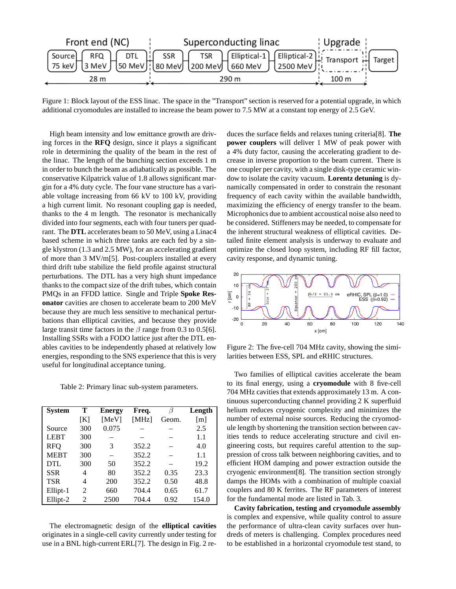

Figure 1: Block layout of the ESS linac. The space in the "Transport" section is reserved for a potential upgrade, in which additional cryomodules are installed to increase the beam power to 7.5 MW at a constant top energy of 2.5 GeV.

High beam intensity and low emittance growth are driving forces in the **RFQ** design, since it plays a significant role in determining the quality of the beam in the rest of the linac. The length of the bunching section exceeds 1 m in order to bunch the beam as adiabatically as possible. The conservative Kilpatrick value of 1.8 allows significant margin for a 4% duty cycle. The four vane structure has a variable voltage increasing from 66 kV to 100 kV, providing a high current limit. No resonant coupling gap is needed, thanks to the 4 m length. The resonator is mechanically divided into four segments, each with four tuners per quadrant. The **DTL** accelerates beam to 50 MeV, using a Linac4 based scheme in which three tanks are each fed by a single klystron (1.3 and 2.5 MW), for an accelerating gradient of more than 3 MV/m[5]. Post-couplers installed at every third drift tube stabilize the field profile against structural perturbations. The DTL has a very high shunt impedance thanks to the compact size of the drift tubes, which contain PMQs in an FFDD lattice. Single and Triple **Spoke Resonator** cavities are chosen to accelerate beam to 200 MeV because they are much less sensitive to mechanical perturbations than elliptical cavities, and because they provide large transit time factors in the  $\beta$  range from 0.3 to 0.5[6]. Installing SSRs with a FODO lattice just after the DTL enables cavities to be independently phased at relatively low energies, responding to the SNS experience that this is very useful for longitudinal acceptance tuning.

Table 2: Primary linac sub-system parameters.

| <b>System</b> | т              | <b>Energy</b> | Freq. | 15    | Length            |
|---------------|----------------|---------------|-------|-------|-------------------|
|               | [K]            | [MeV]         | [MHz] | Geom. | $\lceil m \rceil$ |
| Source        | 300            | 0.075         |       |       | 2.5               |
| <b>LEBT</b>   | 300            |               |       |       | 1.1               |
| <b>RFO</b>    | 300            | 3             | 352.2 |       | 4.0               |
| <b>MEBT</b>   | 300            |               | 352.2 |       | 1.1               |
| <b>DTL</b>    | 300            | 50            | 352.2 |       | 19.2              |
| <b>SSR</b>    | 4              | 80            | 352.2 | 0.35  | 23.3              |
| <b>TSR</b>    | 4              | <b>200</b>    | 352.2 | 0.50  | 48.8              |
| Ellipt-1      | 2              | 660           | 704.4 | 0.65  | 61.7              |
| Ellipt-2      | $\mathfrak{D}$ | 2500          | 704.4 | 0.92  | 154.0             |

The electromagnetic design of the **elliptical cavities** originates in a single-cell cavity currently under testing for use in a BNL high-current ERL[7]. The design in Fig. 2 reduces the surface fields and relaxes tuning criteria[8]. **The power couplers** will deliver 1 MW of peak power with a 4% duty factor, causing the accelerating gradient to decrease in inverse proportion to the beam current. There is one coupler per cavity, with a single disk-type ceramic window to isolate the cavity vacuum. **Lorentz detuning** is dynamically compensated in order to constrain the resonant frequency of each cavity within the available bandwidth, maximizing the efficiency of energy transfer to the beam. Microphonics due to ambient accoustical noise also need to be considered. Stiffeners may be needed, to compensate for the inherent structural weakness of elliptical cavities. Detailed finite element analysis is underway to evaluate and optimize the closed loop system, including RF fill factor, cavity response, and dynamic tuning.



Figure 2: The five-cell 704 MHz cavity, showing the similarities between ESS, SPL and eRHIC structures.

Two families of elliptical cavities accelerate the beam to its final energy, using a **cryomodule** with 8 five-cell 704 MHz cavities that extends approximately 13 m. A continuous superconducting channel providing 2 K superfluid helium reduces cryogenic complexity and minimizes the number of external noise sources. Reducing the cryomodule length by shortening the transition section between cavities tends to reduce accelerating structure and civil engineering costs, but requires careful attention to the suppression of cross talk between neighboring cavities, and to efficient HOM damping and power extraction outside the cryogenic environment[8]. The transition section strongly damps the HOMs with a combination of multiple coaxial couplers and 80 K ferrites. The RF parameters of interest for the fundamental mode are listed in Tab. 3.

**Cavity fabrication, testing and cryomodule assembly** is complex and expensive, while quality control to assure the performance of ultra-clean cavity surfaces over hundreds of meters is challenging. Complex procedures need to be established in a horizontal cryomodule test stand, to